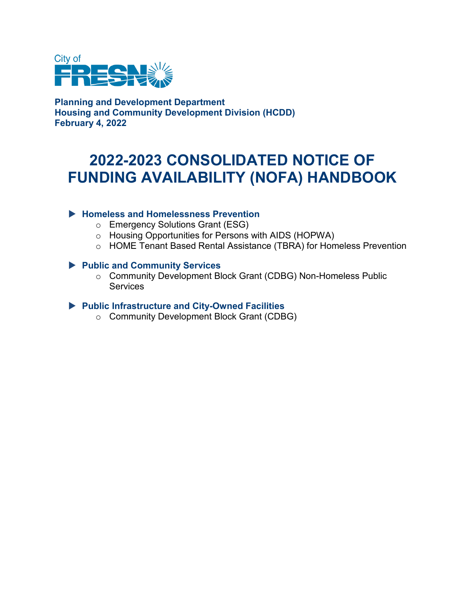

**Planning and Development Department Housing and Community Development Division (HCDD) February 4, 2022**

# **2022-2023 CONSOLIDATED NOTICE OF FUNDING AVAILABILITY (NOFA) HANDBOOK**

#### **Homeless and Homelessness Prevention**

- o Emergency Solutions Grant (ESG)
- o Housing Opportunities for Persons with AIDS (HOPWA)
- o HOME Tenant Based Rental Assistance (TBRA) for Homeless Prevention

#### **Public and Community Services**

o Community Development Block Grant (CDBG) Non-Homeless Public **Services** 

#### **Public Infrastructure and City-Owned Facilities**

o Community Development Block Grant (CDBG)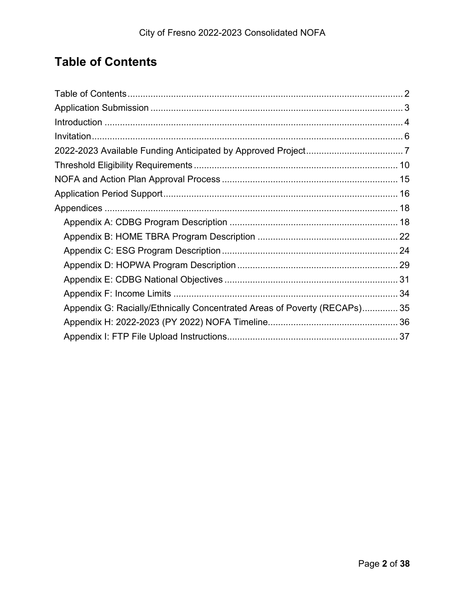# <span id="page-1-0"></span>**Table of Contents**

| Appendix G: Racially/Ethnically Concentrated Areas of Poverty (RECAPs) 35 |  |
|---------------------------------------------------------------------------|--|
|                                                                           |  |
|                                                                           |  |
|                                                                           |  |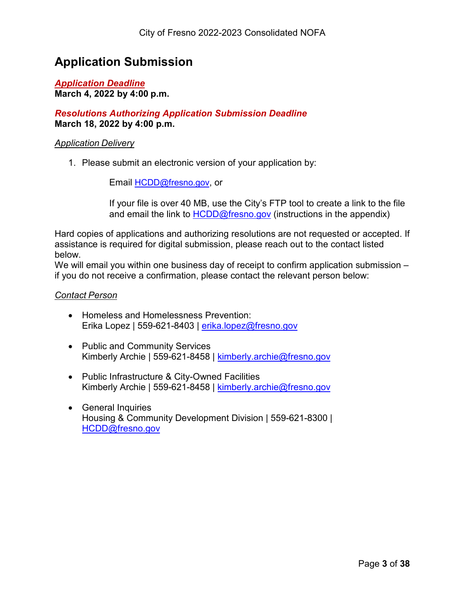### <span id="page-2-0"></span>**Application Submission**

#### *Application Deadline* **March 4, 2022 by 4:00 p.m.**

#### *Resolutions Authorizing Application Submission Deadline* **March 18, 2022 by 4:00 p.m.**

#### *Application Delivery*

1. Please submit an electronic version of your application by:

Email **HCDD@fresno.gov**, or

If your file is over 40 MB, use the City's FTP tool to create a link to the file and email the link to  $HCDD@f$  responged (instructions in the appendix)

Hard copies of applications and authorizing resolutions are not requested or accepted. If assistance is required for digital submission, please reach out to the contact listed below.

We will email you within one business day of receipt to confirm application submission – if you do not receive a confirmation, please contact the relevant person below:

#### *Contact Person*

- Homeless and Homelessness Prevention: Erika Lopez | 559-621-8403 | [erika.lopez@fresno.gov](mailto:erika.lopez@fresno.gov)
- Public and Community Services Kimberly Archie | 559-621-8458 | [kimberly.archie@fresno.gov](mailto:kimberly.archie@fresno.gov)
- Public Infrastructure & City-Owned Facilities Kimberly Archie | 559-621-8458 | [kimberly.archie@fresno.gov](mailto:kimberly.archie@fresno.gov)
- General Inquiries Housing & Community Development Division | 559-621-8300 | [HCDD@fresno.gov](mailto:HCDD@fresno.gov)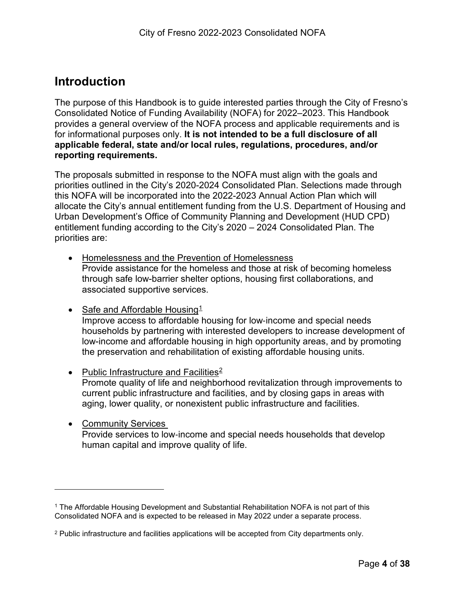### <span id="page-3-0"></span>**Introduction**

 $\overline{a}$ 

The purpose of this Handbook is to guide interested parties through the City of Fresno's Consolidated Notice of Funding Availability (NOFA) for 2022–2023. This Handbook provides a general overview of the NOFA process and applicable requirements and is for informational purposes only. **It is not intended to be a full disclosure of all applicable federal, state and/or local rules, regulations, procedures, and/or reporting requirements.**

The proposals submitted in response to the NOFA must align with the goals and priorities outlined in the City's 2020-2024 Consolidated Plan. Selections made through this NOFA will be incorporated into the 2022-2023 Annual Action Plan which will allocate the City's annual entitlement funding from the U.S. Department of Housing and Urban Development's Office of Community Planning and Development (HUD CPD) entitlement funding according to the City's 2020 – 2024 Consolidated Plan. The priorities are:

- Homelessness and the Prevention of Homelessness Provide assistance for the homeless and those at risk of becoming homeless through safe low-barrier shelter options, housing first collaborations, and associated supportive services.
- Safe and Affordable Housing $1$ Improve access to affordable housing for low‐income and special needs households by partnering with interested developers to increase development of low-income and affordable housing in high opportunity areas, and by promoting the preservation and rehabilitation of existing affordable housing units.
- Public Infrastructure and Facilities<sup>[2](#page-3-2)</sup> Promote quality of life and neighborhood revitalization through improvements to current public infrastructure and facilities, and by closing gaps in areas with aging, lower quality, or nonexistent public infrastructure and facilities.
- Community Services Provide services to low‐income and special needs households that develop human capital and improve quality of life.

<span id="page-3-1"></span><sup>1</sup> The Affordable Housing Development and Substantial Rehabilitation NOFA is not part of this Consolidated NOFA and is expected to be released in May 2022 under a separate process.

<span id="page-3-2"></span><sup>2</sup> Public infrastructure and facilities applications will be accepted from City departments only.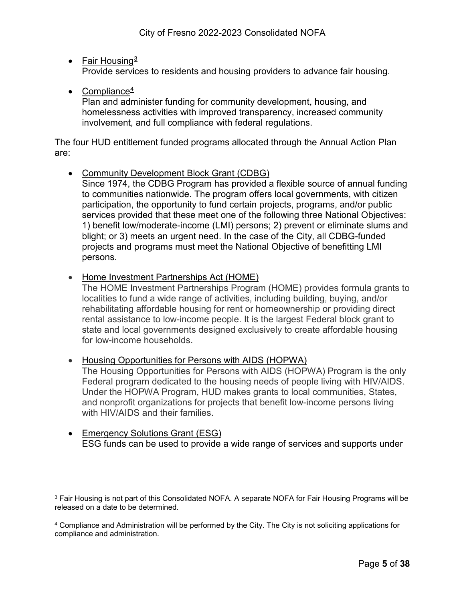#### • Fair Housing $3$

Provide services to residents and housing providers to advance fair housing.

• Compliance $4$ 

 $\overline{a}$ 

Plan and administer funding for community development, housing, and homelessness activities with improved transparency, increased community involvement, and full compliance with federal regulations.

The four HUD entitlement funded programs allocated through the Annual Action Plan are:

• Community Development Block Grant (CDBG)

Since 1974, the CDBG Program has provided a flexible source of annual funding to communities nationwide. The program offers local governments, with citizen participation, the opportunity to fund certain projects, programs, and/or public services provided that these meet one of the following three National Objectives: 1) benefit low/moderate-income (LMI) persons; 2) prevent or eliminate slums and blight; or 3) meets an urgent need. In the case of the City, all CDBG-funded projects and programs must meet the National Objective of benefitting LMI persons.

• Home Investment Partnerships Act (HOME)

The HOME Investment Partnerships Program (HOME) provides formula grants to localities to fund a wide range of activities, including building, buying, and/or rehabilitating affordable housing for rent or homeownership or providing direct rental assistance to low-income people. It is the largest Federal block grant to state and local governments designed exclusively to create affordable housing for low-income households.

- Housing Opportunities for Persons with AIDS (HOPWA) The Housing Opportunities for Persons with AIDS (HOPWA) Program is the only Federal program dedicated to the housing needs of people living with HIV/AIDS. Under the HOPWA Program, HUD makes grants to local communities, States, and nonprofit organizations for projects that benefit low-income persons living with HIV/AIDS and their families.
- Emergency Solutions Grant (ESG) ESG funds can be used to provide a wide range of services and supports under

<span id="page-4-0"></span><sup>3</sup> Fair Housing is not part of this Consolidated NOFA. A separate NOFA for Fair Housing Programs will be released on a date to be determined.

<span id="page-4-1"></span><sup>4</sup> Compliance and Administration will be performed by the City. The City is not soliciting applications for compliance and administration.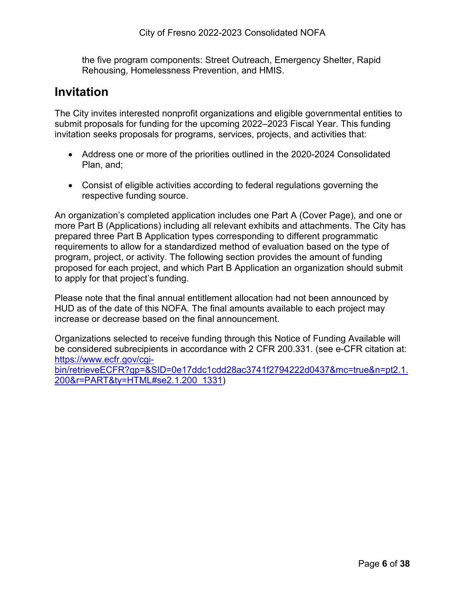the five program components: Street Outreach, Emergency Shelter, Rapid Rehousing, Homelessness Prevention, and HMIS.

### <span id="page-5-0"></span>**Invitation**

The City invites interested nonprofit organizations and eligible governmental entities to submit proposals for funding for the upcoming 2022–2023 Fiscal Year. This funding invitation seeks proposals for programs, services, projects, and activities that:

- Address one or more of the priorities outlined in the 2020-2024 Consolidated Plan, and;
- Consist of eligible activities according to federal regulations governing the respective funding source.

An organization's completed application includes one Part A (Cover Page), and one or more Part B (Applications) including all relevant exhibits and attachments. The City has prepared three Part B Application types corresponding to different programmatic requirements to allow for a standardized method of evaluation based on the type of program, project, or activity. The following section provides the amount of funding proposed for each project, and which Part B Application an organization should submit to apply for that project's funding.

Please note that the final annual entitlement allocation had not been announced by HUD as of the date of this NOFA. The final amounts available to each project may increase or decrease based on the final announcement.

Organizations selected to receive funding through this Notice of Funding Available will be considered subrecipients in accordance with 2 CFR 200.331. (see e-CFR citation at: [https://www.ecfr.gov/cgi-](https://www.ecfr.gov/cgi-bin/retrieveECFR?gp=&SID=0e17ddc1cdd28ac3741f2794222d0437&mc=true&n=pt2.1.200&r=PART&ty=HTML#se2.1.200_1331)

[bin/retrieveECFR?gp=&SID=0e17ddc1cdd28ac3741f2794222d0437&mc=true&n=pt2.1.](https://www.ecfr.gov/cgi-bin/retrieveECFR?gp=&SID=0e17ddc1cdd28ac3741f2794222d0437&mc=true&n=pt2.1.200&r=PART&ty=HTML#se2.1.200_1331) [200&r=PART&ty=HTML#se2.1.200\\_1331\)](https://www.ecfr.gov/cgi-bin/retrieveECFR?gp=&SID=0e17ddc1cdd28ac3741f2794222d0437&mc=true&n=pt2.1.200&r=PART&ty=HTML#se2.1.200_1331)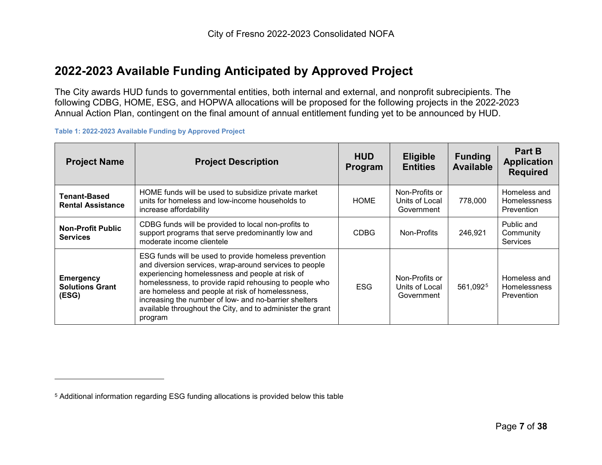### <span id="page-6-1"></span>**2022-2023 Available Funding Anticipated by Approved Project**

The City awards HUD funds to governmental entities, both internal and external, and nonprofit subrecipients. The following CDBG, HOME, ESG, and HOPWA allocations will be proposed for the following projects in the 2022-2023 Annual Action Plan, contingent on the final amount of annual entitlement funding yet to be announced by HUD.

**Table 1: 2022-2023 Available Funding by Approved Project**

 $\overline{a}$ 

<span id="page-6-0"></span>

| <b>Project Name</b>                                 | <b>Project Description</b>                                                                                                                                                                                                                                                                                                                                                                                         | <b>HUD</b><br><b>Program</b> | <b>Eligible</b><br><b>Entities</b>             | <b>Funding</b><br><b>Available</b> | <b>Part B</b><br><b>Application</b><br><b>Required</b> |
|-----------------------------------------------------|--------------------------------------------------------------------------------------------------------------------------------------------------------------------------------------------------------------------------------------------------------------------------------------------------------------------------------------------------------------------------------------------------------------------|------------------------------|------------------------------------------------|------------------------------------|--------------------------------------------------------|
| Tenant-Based<br><b>Rental Assistance</b>            | HOME funds will be used to subsidize private market<br>units for homeless and low-income households to<br>increase affordability                                                                                                                                                                                                                                                                                   | <b>HOME</b>                  | Non-Profits or<br>Units of Local<br>Government | 778.000                            | Homeless and<br><b>Homelessness</b><br>Prevention      |
| <b>Non-Profit Public</b><br><b>Services</b>         | CDBG funds will be provided to local non-profits to<br>support programs that serve predominantly low and<br>moderate income clientele                                                                                                                                                                                                                                                                              | <b>CDBG</b>                  | Non-Profits                                    | 246,921                            | Public and<br>Community<br><b>Services</b>             |
| <b>Emergency</b><br><b>Solutions Grant</b><br>(ESG) | ESG funds will be used to provide homeless prevention<br>and diversion services, wrap-around services to people<br>experiencing homelessness and people at risk of<br>homelessness, to provide rapid rehousing to people who<br>are homeless and people at risk of homelessness,<br>increasing the number of low- and no-barrier shelters<br>available throughout the City, and to administer the grant<br>program | <b>ESG</b>                   | Non-Profits or<br>Units of Local<br>Government | 561,0925                           | Homeless and<br><b>Homelessness</b><br>Prevention      |

<sup>5</sup> Additional information regarding ESG funding allocations is provided below this table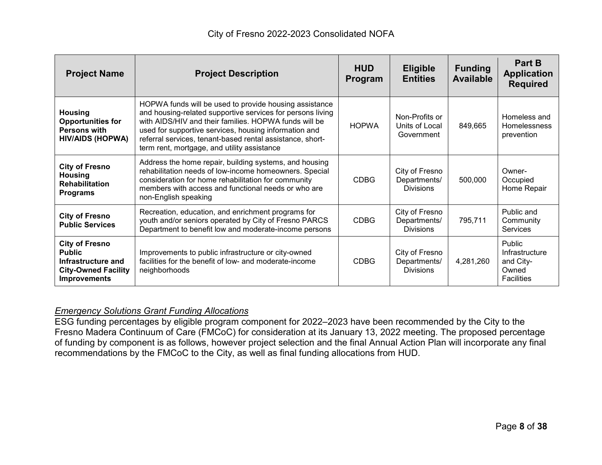| <b>Project Name</b>                                                                                               | <b>Project Description</b>                                                                                                                                                                                                                                                                                                                         | <b>HUD</b><br>Program | <b>Eligible</b><br><b>Entities</b>                 | <b>Funding</b><br><b>Available</b> | Part B<br><b>Application</b><br><b>Required</b>                     |
|-------------------------------------------------------------------------------------------------------------------|----------------------------------------------------------------------------------------------------------------------------------------------------------------------------------------------------------------------------------------------------------------------------------------------------------------------------------------------------|-----------------------|----------------------------------------------------|------------------------------------|---------------------------------------------------------------------|
| <b>Housing</b><br><b>Opportunities for</b><br><b>Persons with</b><br><b>HIV/AIDS (HOPWA)</b>                      | HOPWA funds will be used to provide housing assistance<br>and housing-related supportive services for persons living<br>with AIDS/HIV and their families. HOPWA funds will be<br>used for supportive services, housing information and<br>referral services, tenant-based rental assistance, short-<br>term rent, mortgage, and utility assistance | <b>HOPWA</b>          | Non-Profits or<br>Units of Local<br>Government     | 849,665                            | Homeless and<br>Homelessness<br>prevention                          |
| <b>City of Fresno</b><br><b>Housing</b><br><b>Rehabilitation</b><br><b>Programs</b>                               | Address the home repair, building systems, and housing<br>rehabilitation needs of low-income homeowners. Special<br>consideration for home rehabilitation for community<br>members with access and functional needs or who are<br>non-English speaking                                                                                             | <b>CDBG</b>           | City of Fresno<br>Departments/<br><b>Divisions</b> | 500,000                            | Owner-<br>Occupied<br>Home Repair                                   |
| <b>City of Fresno</b><br><b>Public Services</b>                                                                   | Recreation, education, and enrichment programs for<br>youth and/or seniors operated by City of Fresno PARCS<br>Department to benefit low and moderate-income persons                                                                                                                                                                               | <b>CDBG</b>           | City of Fresno<br>Departments/<br><b>Divisions</b> | 795,711                            | Public and<br>Community<br>Services                                 |
| <b>City of Fresno</b><br><b>Public</b><br>Infrastructure and<br><b>City-Owned Facility</b><br><b>Improvements</b> | Improvements to public infrastructure or city-owned<br>facilities for the benefit of low- and moderate-income<br>neighborhoods                                                                                                                                                                                                                     | <b>CDBG</b>           | City of Fresno<br>Departments/<br><b>Divisions</b> | 4,281,260                          | Public<br>Infrastructure<br>and City-<br>Owned<br><b>Facilities</b> |

#### *Emergency Solutions Grant Funding Allocations*

ESG funding percentages by eligible program component for 2022–2023 have been recommended by the City to the Fresno Madera Continuum of Care (FMCoC) for consideration at its January 13, 2022 meeting. The proposed percentage of funding by component is as follows, however project selection and the final Annual Action Plan will incorporate any final recommendations by the FMCoC to the City, as well as final funding allocations from HUD.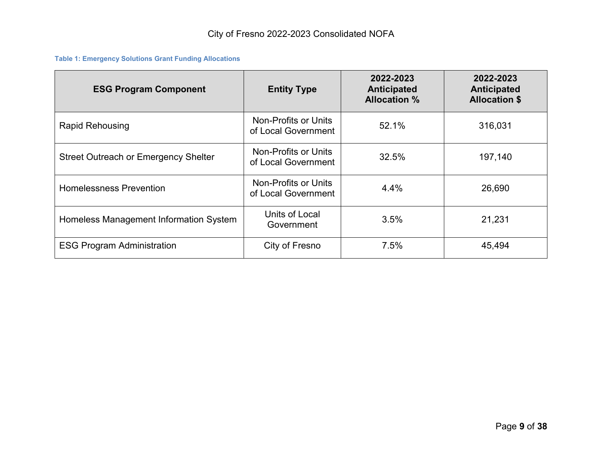#### **Table 1: Emergency Solutions Grant Funding Allocations**

| <b>ESG Program Component</b>                | <b>Entity Type</b>                          | 2022-2023<br>Anticipated<br><b>Allocation %</b> | 2022-2023<br><b>Anticipated</b><br><b>Allocation \$</b> |
|---------------------------------------------|---------------------------------------------|-------------------------------------------------|---------------------------------------------------------|
| <b>Rapid Rehousing</b>                      | Non-Profits or Units<br>of Local Government | 52.1%                                           | 316,031                                                 |
| <b>Street Outreach or Emergency Shelter</b> | Non-Profits or Units<br>of Local Government | 32.5%                                           | 197,140                                                 |
| <b>Homelessness Prevention</b>              | Non-Profits or Units<br>of Local Government | 4.4%                                            | 26,690                                                  |
| Homeless Management Information System      | Units of Local<br>Government                | 3.5%                                            | 21,231                                                  |
| <b>ESG Program Administration</b>           | City of Fresno                              | 7.5%                                            | 45,494                                                  |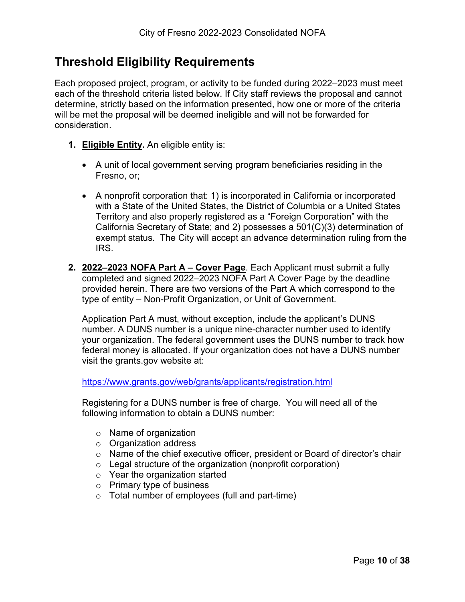## <span id="page-9-0"></span>**Threshold Eligibility Requirements**

Each proposed project, program, or activity to be funded during 2022–2023 must meet each of the threshold criteria listed below. If City staff reviews the proposal and cannot determine, strictly based on the information presented, how one or more of the criteria will be met the proposal will be deemed ineligible and will not be forwarded for consideration.

- **1. Eligible Entity.** An eligible entity is:
	- A unit of local government serving program beneficiaries residing in the Fresno, or;
	- A nonprofit corporation that: 1) is incorporated in California or incorporated with a State of the United States, the District of Columbia or a United States Territory and also properly registered as a "Foreign Corporation" with the California Secretary of State; and 2) possesses a 501(C)(3) determination of exempt status. The City will accept an advance determination ruling from the IRS.
- **2. 2022–2023 NOFA Part A – Cover Page**. Each Applicant must submit a fully completed and signed 2022–2023 NOFA Part A Cover Page by the deadline provided herein. There are two versions of the Part A which correspond to the type of entity – Non-Profit Organization, or Unit of Government.

Application Part A must, without exception, include the applicant's DUNS number. A DUNS number is a unique nine-character number used to identify your organization. The federal government uses the DUNS number to track how federal money is allocated. If your organization does not have a DUNS number visit the grants.gov website at:

<https://www.grants.gov/web/grants/applicants/registration.html>

Registering for a DUNS number is free of charge. You will need all of the following information to obtain a DUNS number:

- o Name of organization
- o Organization address
- o Name of the chief executive officer, president or Board of director's chair
- $\circ$  Legal structure of the organization (nonprofit corporation)
- o Year the organization started
- o Primary type of business
- $\circ$  Total number of employees (full and part-time)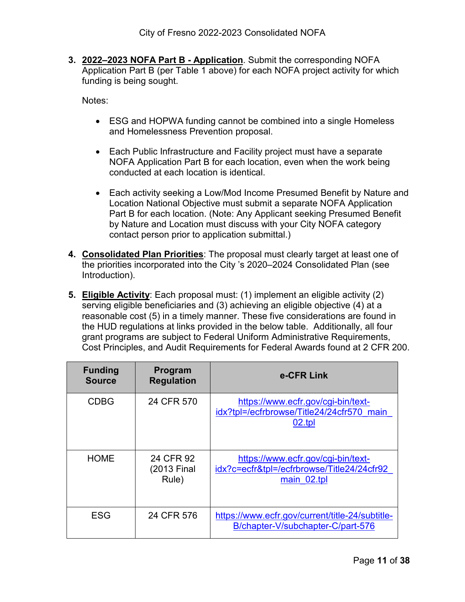**3. 2022–2023 NOFA Part B - Application**. Submit the corresponding NOFA Application Part B (per Table 1 above) for each NOFA project activity for which funding is being sought.

Notes:

- ESG and HOPWA funding cannot be combined into a single Homeless and Homelessness Prevention proposal.
- Each Public Infrastructure and Facility project must have a separate NOFA Application Part B for each location, even when the work being conducted at each location is identical.
- Each activity seeking a Low/Mod Income Presumed Benefit by Nature and Location National Objective must submit a separate NOFA Application Part B for each location. (Note: Any Applicant seeking Presumed Benefit by Nature and Location must discuss with your City NOFA category contact person prior to application submittal.)
- **4. Consolidated Plan Priorities**: The proposal must clearly target at least one of the priorities incorporated into the City 's 2020–2024 Consolidated Plan (see [Introduction\)](#page-3-0).
- **5. Eligible Activity**: Each proposal must: (1) implement an eligible activity (2) serving eligible beneficiaries and (3) achieving an eligible objective (4) at a reasonable cost (5) in a timely manner. These five considerations are found in the HUD regulations at links provided in the below table. Additionally, all four grant programs are subject to Federal Uniform Administrative Requirements, Cost Principles, and Audit Requirements for Federal Awards found at 2 CFR 200.

| <b>Funding</b><br><b>Source</b> | Program<br><b>Regulation</b>      | e-CFR Link                                                                                      |
|---------------------------------|-----------------------------------|-------------------------------------------------------------------------------------------------|
| <b>CDBG</b>                     | 24 CFR 570                        | https://www.ecfr.gov/cgi-bin/text-<br>idx?tpl=/ecfrbrowse/Title24/24cfr570 main<br>02.tpl       |
| <b>HOME</b>                     | 24 CFR 92<br>(2013 Final<br>Rule) | https://www.ecfr.gov/cgi-bin/text-<br>idx?c=ecfr&tpl=/ecfrbrowse/Title24/24cfr92<br>main 02.tpl |
| <b>ESG</b>                      | 24 CFR 576                        | https://www.ecfr.gov/current/title-24/subtitle-<br>B/chapter-V/subchapter-C/part-576            |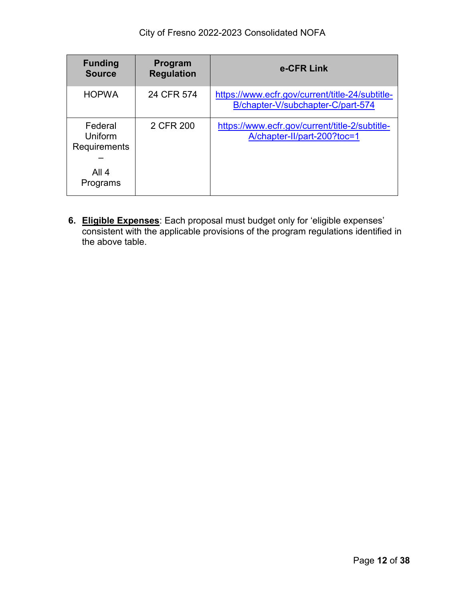| <b>Funding</b><br><b>Source</b>                                | Program<br><b>Regulation</b> | e-CFR Link                                                                           |
|----------------------------------------------------------------|------------------------------|--------------------------------------------------------------------------------------|
| <b>HOPWA</b>                                                   | 24 CFR 574                   | https://www.ecfr.gov/current/title-24/subtitle-<br>B/chapter-V/subchapter-C/part-574 |
| Federal<br>Uniform<br><b>Requirements</b><br>All 4<br>Programs | 2 CFR 200                    | https://www.ecfr.gov/current/title-2/subtitle-<br>A/chapter-II/part-200?toc=1        |

**6. Eligible Expenses**: Each proposal must budget only for 'eligible expenses' consistent with the applicable provisions of the program regulations identified in the above table.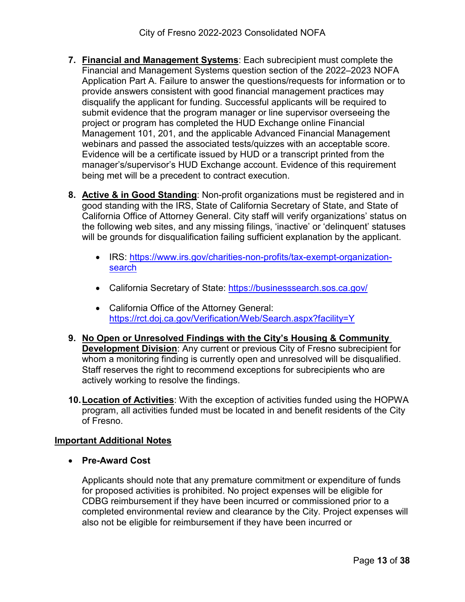- **7. Financial and Management Systems**: Each subrecipient must complete the Financial and Management Systems question section of the 2022–2023 NOFA Application Part A. Failure to answer the questions/requests for information or to provide answers consistent with good financial management practices may disqualify the applicant for funding. Successful applicants will be required to submit evidence that the program manager or line supervisor overseeing the project or program has completed the HUD Exchange online Financial Management 101, 201, and the applicable Advanced Financial Management webinars and passed the associated tests/quizzes with an acceptable score. Evidence will be a certificate issued by HUD or a transcript printed from the manager's/supervisor's HUD Exchange account. Evidence of this requirement being met will be a precedent to contract execution.
- **8. Active & in Good Standing**: Non-profit organizations must be registered and in good standing with the IRS, State of California Secretary of State, and State of California Office of Attorney General. City staff will verify organizations' status on the following web sites, and any missing filings, 'inactive' or 'delinquent' statuses will be grounds for disqualification failing sufficient explanation by the applicant.
	- IRS: [https://www.irs.gov/charities-non-profits/tax-exempt-organization](https://www.irs.gov/charities-non-profits/tax-exempt-organization-search)[search](https://www.irs.gov/charities-non-profits/tax-exempt-organization-search)
	- California Secretary of State:<https://businesssearch.sos.ca.gov/>
	- California Office of the Attorney General: <https://rct.doj.ca.gov/Verification/Web/Search.aspx?facility=Y>
- **9. No Open or Unresolved Findings with the City's Housing & Community Development Division**: Any current or previous City of Fresno subrecipient for whom a monitoring finding is currently open and unresolved will be disqualified. Staff reserves the right to recommend exceptions for subrecipients who are actively working to resolve the findings.
- **10.Location of Activities**: With the exception of activities funded using the HOPWA program, all activities funded must be located in and benefit residents of the City of Fresno.

#### **Important Additional Notes**

• **Pre-Award Cost**

Applicants should note that any premature commitment or expenditure of funds for proposed activities is prohibited. No project expenses will be eligible for CDBG reimbursement if they have been incurred or commissioned prior to a completed environmental review and clearance by the City. Project expenses will also not be eligible for reimbursement if they have been incurred or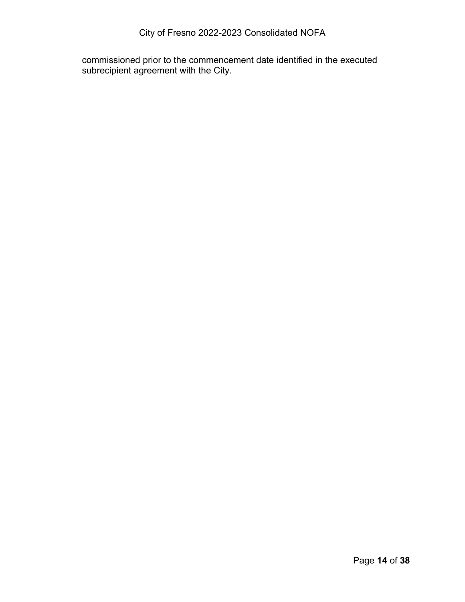commissioned prior to the commencement date identified in the executed subrecipient agreement with the City.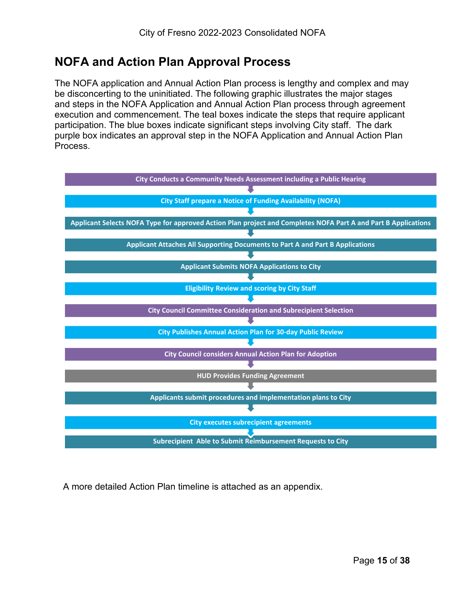## <span id="page-14-0"></span>**NOFA and Action Plan Approval Process**

The NOFA application and Annual Action Plan process is lengthy and complex and may be disconcerting to the uninitiated. The following graphic illustrates the major stages and steps in the NOFA Application and Annual Action Plan process through agreement execution and commencement. The teal boxes indicate the steps that require applicant participation. The blue boxes indicate significant steps involving City staff. The dark purple box indicates an approval step in the NOFA Application and Annual Action Plan Process.



A more detailed Action Plan timeline is attached as an appendix.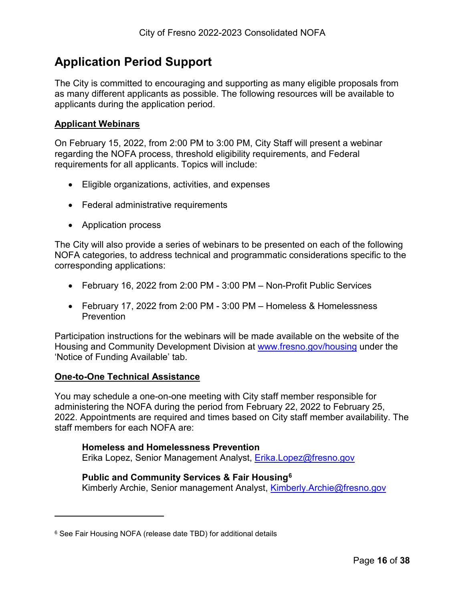# <span id="page-15-0"></span>**Application Period Support**

The City is committed to encouraging and supporting as many eligible proposals from as many different applicants as possible. The following resources will be available to applicants during the application period.

#### **Applicant Webinars**

On February 15, 2022, from 2:00 PM to 3:00 PM, City Staff will present a webinar regarding the NOFA process, threshold eligibility requirements, and Federal requirements for all applicants. Topics will include:

- Eligible organizations, activities, and expenses
- Federal administrative requirements
- Application process

The City will also provide a series of webinars to be presented on each of the following NOFA categories, to address technical and programmatic considerations specific to the corresponding applications:

- February 16, 2022 from 2:00 PM 3:00 PM Non-Profit Public Services
- February 17, 2022 from 2:00 PM 3:00 PM Homeless & Homelessness **Prevention**

Participation instructions for the webinars will be made available on the website of the Housing and Community Development Division at [www.fresno.gov/housing](http://www.fresno.gov/housing) under the 'Notice of Funding Available' tab.

#### **One-to-One Technical Assistance**

 $\overline{a}$ 

You may schedule a one-on-one meeting with City staff member responsible for administering the NOFA during the period from February 22, 2022 to February 25, 2022. Appointments are required and times based on City staff member availability. The staff members for each NOFA are:

#### **Homeless and Homelessness Prevention**

Erika Lopez, Senior Management Analyst, [Erika.Lopez@fresno.gov](mailto:Erika.Lopez@fresno.gov)

#### **Public and Community Services & Fair Housing[6](#page-15-1)**

Kimberly Archie, Senior management Analyst, [Kimberly.Archie@fresno.gov](mailto:Kimberly.Archie@fresno.gov)

<span id="page-15-1"></span><sup>6</sup> See Fair Housing NOFA (release date TBD) for additional details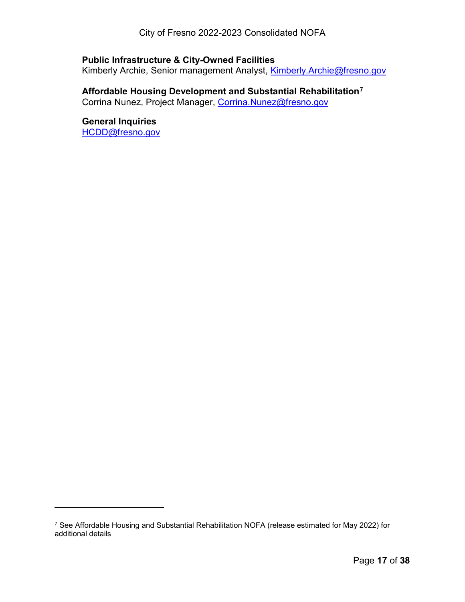#### **Public Infrastructure & City-Owned Facilities**

Kimberly Archie, Senior management Analyst, [Kimberly.Archie@fresno.gov](mailto:Kimberly.Archie@fresno.gov)

#### **Affordable Housing Development and Substantial Rehabilitation[7](#page-16-0)**

Corrina Nunez, Project Manager, [Corrina.Nunez@fresno.gov](mailto:corrina.nunez@fresno.gov)

### **General Inquiries**

[HCDD@fresno.gov](mailto:HCDD@fresno.gov)

 $\overline{a}$ 

<span id="page-16-0"></span><sup>7</sup> See Affordable Housing and Substantial Rehabilitation NOFA (release estimated for May 2022) for additional details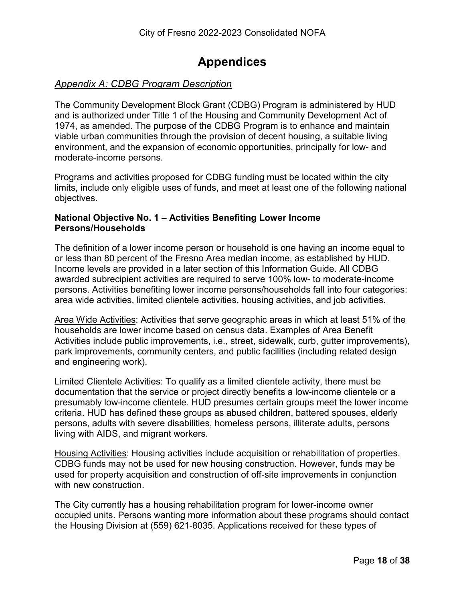### **Appendices**

#### <span id="page-17-1"></span><span id="page-17-0"></span>*Appendix A: CDBG Program Description*

The Community Development Block Grant (CDBG) Program is administered by HUD and is authorized under Title 1 of the Housing and Community Development Act of 1974, as amended. The purpose of the CDBG Program is to enhance and maintain viable urban communities through the provision of decent housing, a suitable living environment, and the expansion of economic opportunities, principally for low- and moderate-income persons.

Programs and activities proposed for CDBG funding must be located within the city limits, include only eligible uses of funds, and meet at least one of the following national objectives.

#### **National Objective No. 1 – Activities Benefiting Lower Income Persons/Households**

The definition of a lower income person or household is one having an income equal to or less than 80 percent of the Fresno Area median income, as established by HUD. Income levels are provided in a later section of this Information Guide. All CDBG awarded subrecipient activities are required to serve 100% low- to moderate-income persons. Activities benefiting lower income persons/households fall into four categories: area wide activities, limited clientele activities, housing activities, and job activities.

Area Wide Activities: Activities that serve geographic areas in which at least 51% of the households are lower income based on census data. Examples of Area Benefit Activities include public improvements, i.e., street, sidewalk, curb, gutter improvements), park improvements, community centers, and public facilities (including related design and engineering work).

Limited Clientele Activities: To qualify as a limited clientele activity, there must be documentation that the service or project directly benefits a low-income clientele or a presumably low-income clientele. HUD presumes certain groups meet the lower income criteria. HUD has defined these groups as abused children, battered spouses, elderly persons, adults with severe disabilities, homeless persons, illiterate adults, persons living with AIDS, and migrant workers.

Housing Activities: Housing activities include acquisition or rehabilitation of properties. CDBG funds may not be used for new housing construction. However, funds may be used for property acquisition and construction of off-site improvements in conjunction with new construction.

The City currently has a housing rehabilitation program for lower-income owner occupied units. Persons wanting more information about these programs should contact the Housing Division at (559) 621-8035. Applications received for these types of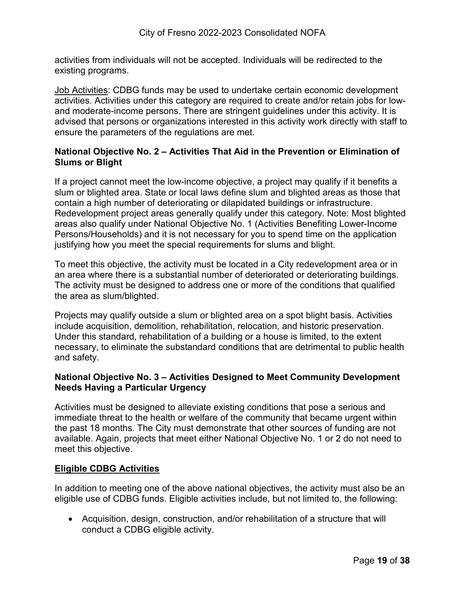activities from individuals will not be accepted. Individuals will be redirected to the existing programs.

Job Activities: CDBG funds may be used to undertake certain economic development activities. Activities under this category are required to create and/or retain jobs for lowand moderate-income persons. There are stringent guidelines under this activity. It is advised that persons or organizations interested in this activity work directly with staff to ensure the parameters of the regulations are met.

#### **National Objective No. 2 – Activities That Aid in the Prevention or Elimination of Slums or Blight**

If a project cannot meet the low-income objective, a project may qualify if it benefits a slum or blighted area. State or local laws define slum and blighted areas as those that contain a high number of deteriorating or dilapidated buildings or infrastructure. Redevelopment project areas generally qualify under this category. Note: Most blighted areas also qualify under National Objective No. 1 (Activities Benefiting Lower-Income Persons/Households) and it is not necessary for you to spend time on the application justifying how you meet the special requirements for slums and blight.

To meet this objective, the activity must be located in a City redevelopment area or in an area where there is a substantial number of deteriorated or deteriorating buildings. The activity must be designed to address one or more of the conditions that qualified the area as slum/blighted.

Projects may qualify outside a slum or blighted area on a spot blight basis. Activities include acquisition, demolition, rehabilitation, relocation, and historic preservation. Under this standard, rehabilitation of a building or a house is limited, to the extent necessary, to eliminate the substandard conditions that are detrimental to public health and safety.

#### **National Objective No. 3 – Activities Designed to Meet Community Development Needs Having a Particular Urgency**

Activities must be designed to alleviate existing conditions that pose a serious and immediate threat to the health or welfare of the community that became urgent within the past 18 months. The City must demonstrate that other sources of funding are not available. Again, projects that meet either National Objective No. 1 or 2 do not need to meet this objective.

#### **Eligible CDBG Activities**

In addition to meeting one of the above national objectives, the activity must also be an eligible use of CDBG funds. Eligible activities include, but not limited to, the following:

• Acquisition, design, construction, and/or rehabilitation of a structure that will conduct a CDBG eligible activity.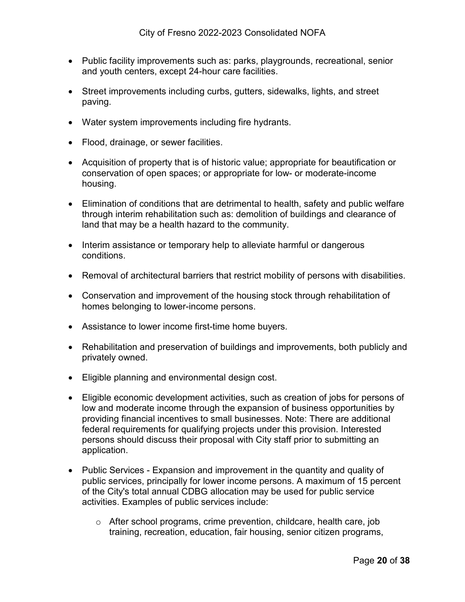- Public facility improvements such as: parks, playgrounds, recreational, senior and youth centers, except 24-hour care facilities.
- Street improvements including curbs, gutters, sidewalks, lights, and street paving.
- Water system improvements including fire hydrants.
- Flood, drainage, or sewer facilities.
- Acquisition of property that is of historic value; appropriate for beautification or conservation of open spaces; or appropriate for low- or moderate-income housing.
- Elimination of conditions that are detrimental to health, safety and public welfare through interim rehabilitation such as: demolition of buildings and clearance of land that may be a health hazard to the community.
- Interim assistance or temporary help to alleviate harmful or dangerous conditions.
- Removal of architectural barriers that restrict mobility of persons with disabilities.
- Conservation and improvement of the housing stock through rehabilitation of homes belonging to lower-income persons.
- Assistance to lower income first-time home buyers.
- Rehabilitation and preservation of buildings and improvements, both publicly and privately owned.
- Eligible planning and environmental design cost.
- Eligible economic development activities, such as creation of jobs for persons of low and moderate income through the expansion of business opportunities by providing financial incentives to small businesses. Note: There are additional federal requirements for qualifying projects under this provision. Interested persons should discuss their proposal with City staff prior to submitting an application.
- Public Services Expansion and improvement in the quantity and quality of public services, principally for lower income persons. A maximum of 15 percent of the City's total annual CDBG allocation may be used for public service activities. Examples of public services include:
	- o After school programs, crime prevention, childcare, health care, job training, recreation, education, fair housing, senior citizen programs,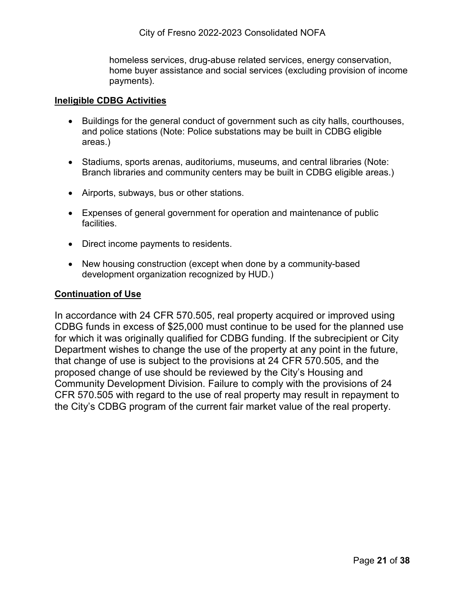homeless services, drug-abuse related services, energy conservation, home buyer assistance and social services (excluding provision of income payments).

#### **Ineligible CDBG Activities**

- Buildings for the general conduct of government such as city halls, courthouses, and police stations (Note: Police substations may be built in CDBG eligible areas.)
- Stadiums, sports arenas, auditoriums, museums, and central libraries (Note: Branch libraries and community centers may be built in CDBG eligible areas.)
- Airports, subways, bus or other stations.
- Expenses of general government for operation and maintenance of public facilities.
- Direct income payments to residents.
- New housing construction (except when done by a community-based development organization recognized by HUD.)

#### **Continuation of Use**

In accordance with 24 CFR 570.505, real property acquired or improved using CDBG funds in excess of \$25,000 must continue to be used for the planned use for which it was originally qualified for CDBG funding. If the subrecipient or City Department wishes to change the use of the property at any point in the future, that change of use is subject to the provisions at 24 CFR 570.505, and the proposed change of use should be reviewed by the City's Housing and Community Development Division. Failure to comply with the provisions of 24 CFR 570.505 with regard to the use of real property may result in repayment to the City's CDBG program of the current fair market value of the real property.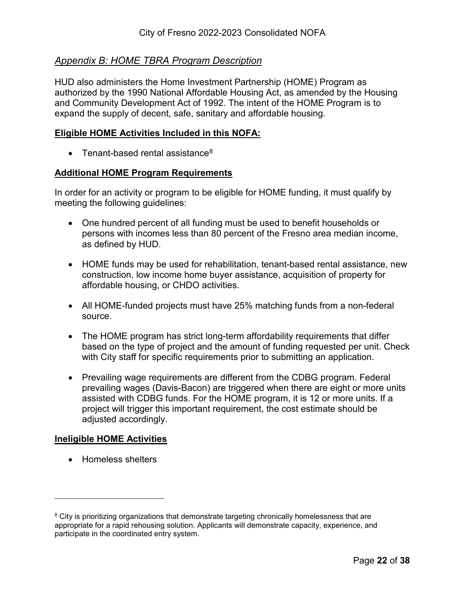#### <span id="page-21-0"></span>*Appendix B: HOME TBRA Program Description*

HUD also administers the Home Investment Partnership (HOME) Program as authorized by the 1990 National Affordable Housing Act, as amended by the Housing and Community Development Act of 1992. The intent of the HOME Program is to expand the supply of decent, safe, sanitary and affordable housing.

#### **Eligible HOME Activities Included in this NOFA:**

• Tenant-based rental assistance<sup>[8](#page-21-1)</sup>

#### **Additional HOME Program Requirements**

In order for an activity or program to be eligible for HOME funding, it must qualify by meeting the following guidelines:

- One hundred percent of all funding must be used to benefit households or persons with incomes less than 80 percent of the Fresno area median income, as defined by HUD.
- HOME funds may be used for rehabilitation, tenant-based rental assistance, new construction, low income home buyer assistance, acquisition of property for affordable housing, or CHDO activities.
- All HOME-funded projects must have 25% matching funds from a non-federal source.
- The HOME program has strict long-term affordability requirements that differ based on the type of project and the amount of funding requested per unit. Check with City staff for specific requirements prior to submitting an application.
- Prevailing wage requirements are different from the CDBG program. Federal prevailing wages (Davis-Bacon) are triggered when there are eight or more units assisted with CDBG funds. For the HOME program, it is 12 or more units. If a project will trigger this important requirement, the cost estimate should be adjusted accordingly.

#### **Ineligible HOME Activities**

• Homeless shelters

 $\overline{a}$ 

<span id="page-21-1"></span><sup>&</sup>lt;sup>8</sup> City is prioritizing organizations that demonstrate targeting chronically homelessness that are appropriate for a rapid rehousing solution. Applicants will demonstrate capacity, experience, and participate in the coordinated entry system.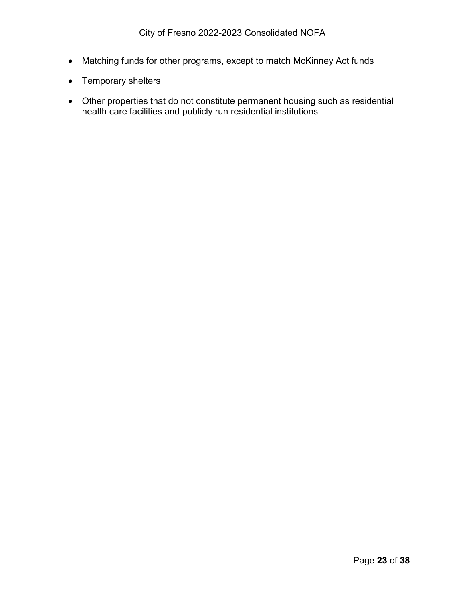- Matching funds for other programs, except to match McKinney Act funds
- Temporary shelters
- Other properties that do not constitute permanent housing such as residential health care facilities and publicly run residential institutions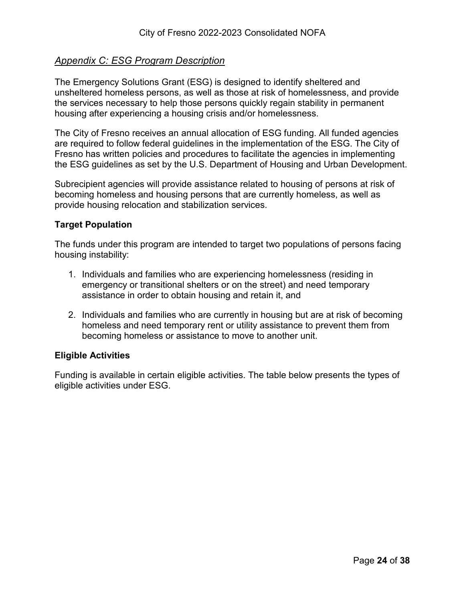#### <span id="page-23-0"></span>*Appendix C: ESG Program Description*

The Emergency Solutions Grant (ESG) is designed to identify sheltered and unsheltered homeless persons, as well as those at risk of homelessness, and provide the services necessary to help those persons quickly regain stability in permanent housing after experiencing a housing crisis and/or homelessness.

The City of Fresno receives an annual allocation of ESG funding. All funded agencies are required to follow federal guidelines in the implementation of the ESG. The City of Fresno has written policies and procedures to facilitate the agencies in implementing the ESG guidelines as set by the U.S. Department of Housing and Urban Development.

Subrecipient agencies will provide assistance related to housing of persons at risk of becoming homeless and housing persons that are currently homeless, as well as provide housing relocation and stabilization services.

#### **Target Population**

The funds under this program are intended to target two populations of persons facing housing instability:

- 1. Individuals and families who are experiencing homelessness (residing in emergency or transitional shelters or on the street) and need temporary assistance in order to obtain housing and retain it, and
- 2. Individuals and families who are currently in housing but are at risk of becoming homeless and need temporary rent or utility assistance to prevent them from becoming homeless or assistance to move to another unit.

#### **Eligible Activities**

Funding is available in certain eligible activities. The table below presents the types of eligible activities under ESG.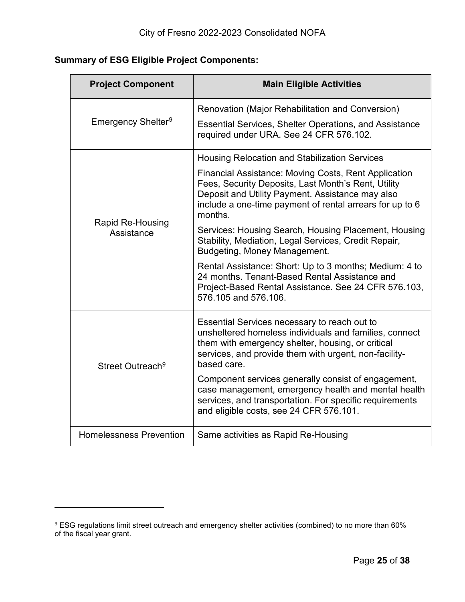### **Summary of ESG Eligible Project Components:**

<span id="page-24-0"></span>

| <b>Project Component</b>       | <b>Main Eligible Activities</b>                                                                                                                                                                                                               |
|--------------------------------|-----------------------------------------------------------------------------------------------------------------------------------------------------------------------------------------------------------------------------------------------|
|                                | Renovation (Major Rehabilitation and Conversion)                                                                                                                                                                                              |
| Emergency Shelter <sup>9</sup> | <b>Essential Services, Shelter Operations, and Assistance</b><br>required under URA. See 24 CFR 576.102.                                                                                                                                      |
|                                | <b>Housing Relocation and Stabilization Services</b>                                                                                                                                                                                          |
| Rapid Re-Housing<br>Assistance | <b>Financial Assistance: Moving Costs, Rent Application</b><br>Fees, Security Deposits, Last Month's Rent, Utility<br>Deposit and Utility Payment. Assistance may also<br>include a one-time payment of rental arrears for up to 6<br>months. |
|                                | Services: Housing Search, Housing Placement, Housing<br>Stability, Mediation, Legal Services, Credit Repair,<br>Budgeting, Money Management.                                                                                                  |
|                                | Rental Assistance: Short: Up to 3 months; Medium: 4 to<br>24 months. Tenant-Based Rental Assistance and<br>Project-Based Rental Assistance. See 24 CFR 576.103,<br>576, 105 and 576, 106.                                                     |
| Street Outreach <sup>9</sup>   | Essential Services necessary to reach out to<br>unsheltered homeless individuals and families, connect<br>them with emergency shelter, housing, or critical<br>services, and provide them with urgent, non-facility-<br>based care.           |
|                                | Component services generally consist of engagement,<br>case management, emergency health and mental health<br>services, and transportation. For specific requirements<br>and eligible costs, see 24 CFR 576.101.                              |
| <b>Homelessness Prevention</b> | Same activities as Rapid Re-Housing                                                                                                                                                                                                           |

 $\overline{a}$ 

<span id="page-24-1"></span> $^9$  ESG regulations limit street outreach and emergency shelter activities (combined) to no more than 60%  $\,$ of the fiscal year grant.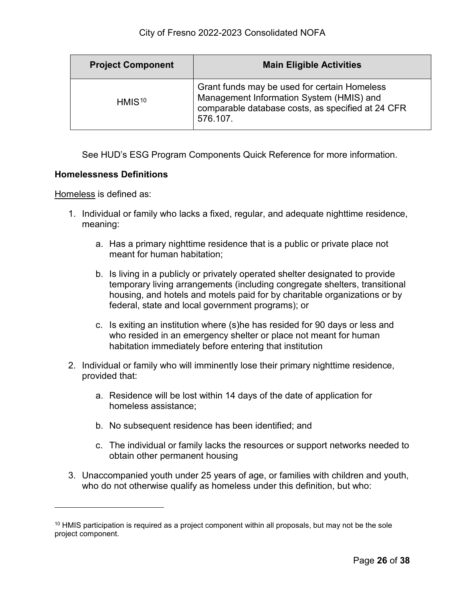| <b>Project Component</b> | <b>Main Eligible Activities</b>                                                                                                                           |
|--------------------------|-----------------------------------------------------------------------------------------------------------------------------------------------------------|
| HMIS <sup>10</sup>       | Grant funds may be used for certain Homeless<br>Management Information System (HMIS) and<br>comparable database costs, as specified at 24 CFR<br>576.107. |

See HUD's ESG Program Components Quick Reference for more information.

#### **Homelessness Definitions**

Homeless is defined as:

 $\overline{a}$ 

- 1. Individual or family who lacks a fixed, regular, and adequate nighttime residence, meaning:
	- a. Has a primary nighttime residence that is a public or private place not meant for human habitation;
	- b. Is living in a publicly or privately operated shelter designated to provide temporary living arrangements (including congregate shelters, transitional housing, and hotels and motels paid for by charitable organizations or by federal, state and local government programs); or
	- c. Is exiting an institution where (s)he has resided for 90 days or less and who resided in an emergency shelter or place not meant for human habitation immediately before entering that institution
- 2. Individual or family who will imminently lose their primary nighttime residence, provided that:
	- a. Residence will be lost within 14 days of the date of application for homeless assistance;
	- b. No subsequent residence has been identified; and
	- c. The individual or family lacks the resources or support networks needed to obtain other permanent housing
- 3. Unaccompanied youth under 25 years of age, or families with children and youth, who do not otherwise qualify as homeless under this definition, but who:

<span id="page-25-0"></span> $10$  HMIS participation is required as a project component within all proposals, but may not be the sole project component.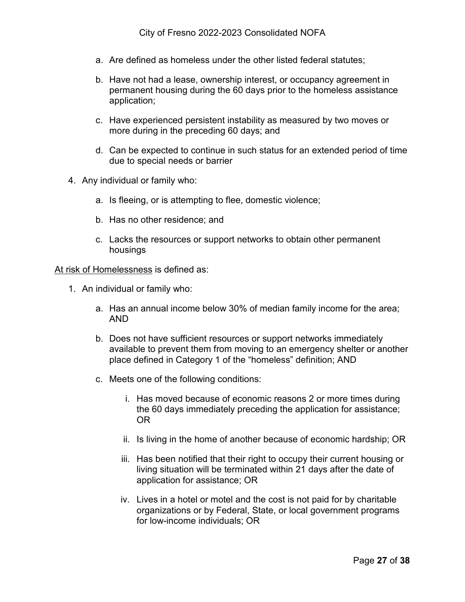- a. Are defined as homeless under the other listed federal statutes;
- b. Have not had a lease, ownership interest, or occupancy agreement in permanent housing during the 60 days prior to the homeless assistance application;
- c. Have experienced persistent instability as measured by two moves or more during in the preceding 60 days; and
- d. Can be expected to continue in such status for an extended period of time due to special needs or barrier
- 4. Any individual or family who:
	- a. Is fleeing, or is attempting to flee, domestic violence;
	- b. Has no other residence; and
	- c. Lacks the resources or support networks to obtain other permanent housings

At risk of Homelessness is defined as:

- 1. An individual or family who:
	- a. Has an annual income below 30% of median family income for the area; AND
	- b. Does not have sufficient resources or support networks immediately available to prevent them from moving to an emergency shelter or another place defined in Category 1 of the "homeless" definition; AND
	- c. Meets one of the following conditions:
		- i. Has moved because of economic reasons 2 or more times during the 60 days immediately preceding the application for assistance; OR
		- ii. Is living in the home of another because of economic hardship; OR
		- iii. Has been notified that their right to occupy their current housing or living situation will be terminated within 21 days after the date of application for assistance; OR
		- iv. Lives in a hotel or motel and the cost is not paid for by charitable organizations or by Federal, State, or local government programs for low-income individuals; OR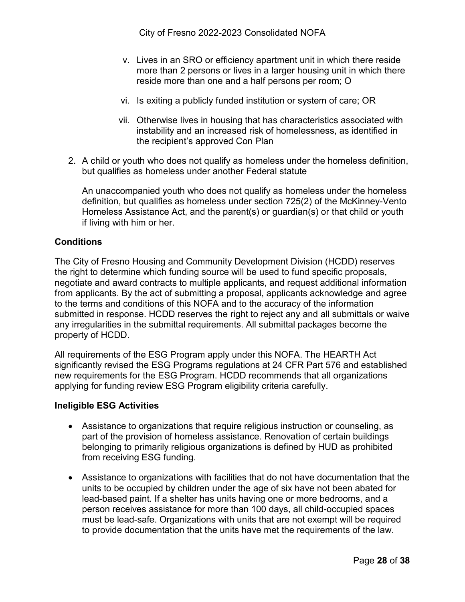- v. Lives in an SRO or efficiency apartment unit in which there reside more than 2 persons or lives in a larger housing unit in which there reside more than one and a half persons per room; O
- vi. Is exiting a publicly funded institution or system of care; OR
- vii. Otherwise lives in housing that has characteristics associated with instability and an increased risk of homelessness, as identified in the recipient's approved Con Plan
- 2. A child or youth who does not qualify as homeless under the homeless definition, but qualifies as homeless under another Federal statute

An unaccompanied youth who does not qualify as homeless under the homeless definition, but qualifies as homeless under section 725(2) of the McKinney-Vento Homeless Assistance Act, and the parent(s) or guardian(s) or that child or youth if living with him or her.

#### **Conditions**

The City of Fresno Housing and Community Development Division (HCDD) reserves the right to determine which funding source will be used to fund specific proposals, negotiate and award contracts to multiple applicants, and request additional information from applicants. By the act of submitting a proposal, applicants acknowledge and agree to the terms and conditions of this NOFA and to the accuracy of the information submitted in response. HCDD reserves the right to reject any and all submittals or waive any irregularities in the submittal requirements. All submittal packages become the property of HCDD.

All requirements of the ESG Program apply under this NOFA. The HEARTH Act significantly revised the ESG Programs regulations at 24 CFR Part 576 and established new requirements for the ESG Program. HCDD recommends that all organizations applying for funding review ESG Program eligibility criteria carefully.

#### **Ineligible ESG Activities**

- Assistance to organizations that require religious instruction or counseling, as part of the provision of homeless assistance. Renovation of certain buildings belonging to primarily religious organizations is defined by HUD as prohibited from receiving ESG funding.
- Assistance to organizations with facilities that do not have documentation that the units to be occupied by children under the age of six have not been abated for lead-based paint. If a shelter has units having one or more bedrooms, and a person receives assistance for more than 100 days, all child-occupied spaces must be lead-safe. Organizations with units that are not exempt will be required to provide documentation that the units have met the requirements of the law.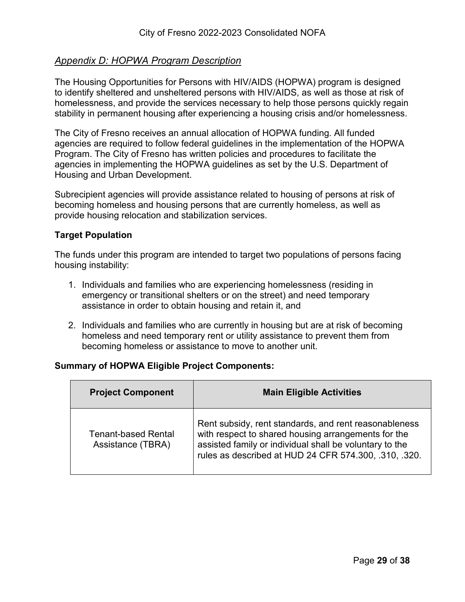#### <span id="page-28-0"></span>*Appendix D: HOPWA Program Description*

The Housing Opportunities for Persons with HIV/AIDS (HOPWA) program is designed to identify sheltered and unsheltered persons with HIV/AIDS, as well as those at risk of homelessness, and provide the services necessary to help those persons quickly regain stability in permanent housing after experiencing a housing crisis and/or homelessness.

The City of Fresno receives an annual allocation of HOPWA funding. All funded agencies are required to follow federal guidelines in the implementation of the HOPWA Program. The City of Fresno has written policies and procedures to facilitate the agencies in implementing the HOPWA guidelines as set by the U.S. Department of Housing and Urban Development.

Subrecipient agencies will provide assistance related to housing of persons at risk of becoming homeless and housing persons that are currently homeless, as well as provide housing relocation and stabilization services.

#### **Target Population**

The funds under this program are intended to target two populations of persons facing housing instability:

- 1. Individuals and families who are experiencing homelessness (residing in emergency or transitional shelters or on the street) and need temporary assistance in order to obtain housing and retain it, and
- 2. Individuals and families who are currently in housing but are at risk of becoming homeless and need temporary rent or utility assistance to prevent them from becoming homeless or assistance to move to another unit.

#### **Summary of HOPWA Eligible Project Components:**

| <b>Project Component</b>                        | <b>Main Eligible Activities</b>                                                                                                                                                                                                  |
|-------------------------------------------------|----------------------------------------------------------------------------------------------------------------------------------------------------------------------------------------------------------------------------------|
| <b>Tenant-based Rental</b><br>Assistance (TBRA) | Rent subsidy, rent standards, and rent reasonableness<br>with respect to shared housing arrangements for the<br>assisted family or individual shall be voluntary to the<br>rules as described at HUD 24 CFR 574.300, .310, .320. |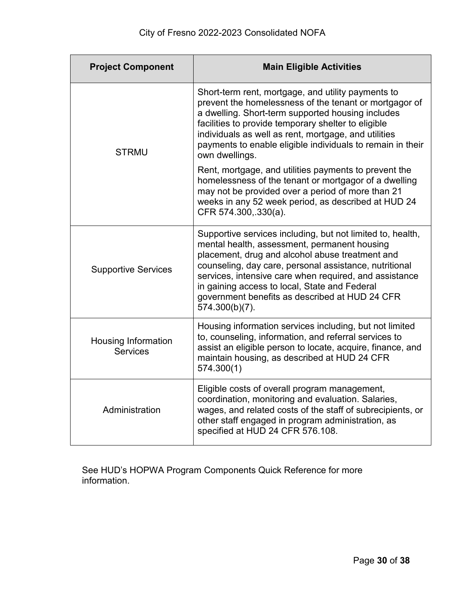| <b>Project Component</b>                      | <b>Main Eligible Activities</b>                                                                                                                                                                                                                                                                                                                                                                        |
|-----------------------------------------------|--------------------------------------------------------------------------------------------------------------------------------------------------------------------------------------------------------------------------------------------------------------------------------------------------------------------------------------------------------------------------------------------------------|
| <b>STRMU</b>                                  | Short-term rent, mortgage, and utility payments to<br>prevent the homelessness of the tenant or mortgagor of<br>a dwelling. Short-term supported housing includes<br>facilities to provide temporary shelter to eligible<br>individuals as well as rent, mortgage, and utilities<br>payments to enable eligible individuals to remain in their<br>own dwellings.                                       |
|                                               | Rent, mortgage, and utilities payments to prevent the<br>homelessness of the tenant or mortgagor of a dwelling<br>may not be provided over a period of more than 21<br>weeks in any 52 week period, as described at HUD 24<br>CFR 574.300, 330(a).                                                                                                                                                     |
| <b>Supportive Services</b>                    | Supportive services including, but not limited to, health,<br>mental health, assessment, permanent housing<br>placement, drug and alcohol abuse treatment and<br>counseling, day care, personal assistance, nutritional<br>services, intensive care when required, and assistance<br>in gaining access to local, State and Federal<br>government benefits as described at HUD 24 CFR<br>574.300(b)(7). |
| <b>Housing Information</b><br><b>Services</b> | Housing information services including, but not limited<br>to, counseling, information, and referral services to<br>assist an eligible person to locate, acquire, finance, and<br>maintain housing, as described at HUD 24 CFR<br>574.300(1)                                                                                                                                                           |
| Administration                                | Eligible costs of overall program management,<br>coordination, monitoring and evaluation. Salaries,<br>wages, and related costs of the staff of subrecipients, or<br>other staff engaged in program administration, as<br>specified at HUD 24 CFR 576.108.                                                                                                                                             |

See HUD's HOPWA Program Components Quick Reference for more information.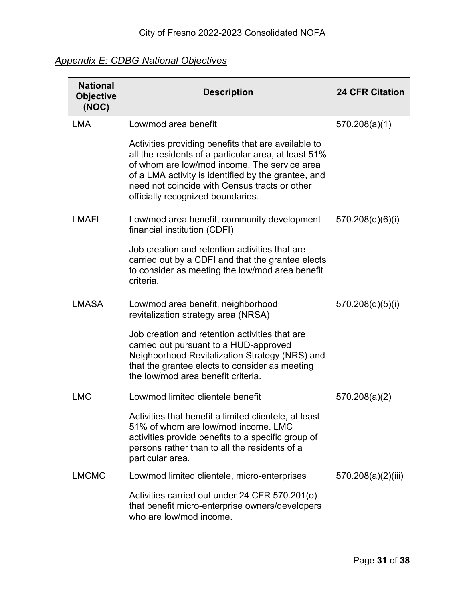### <span id="page-30-0"></span>*Appendix E: CDBG National Objectives*

| <b>National</b><br><b>Objective</b><br>(NOC) | <b>Description</b>                                                                                                                                                                                                                                                                                       | <b>24 CFR Citation</b> |
|----------------------------------------------|----------------------------------------------------------------------------------------------------------------------------------------------------------------------------------------------------------------------------------------------------------------------------------------------------------|------------------------|
| <b>LMA</b>                                   | Low/mod area benefit                                                                                                                                                                                                                                                                                     | 570.208(a)(1)          |
|                                              | Activities providing benefits that are available to<br>all the residents of a particular area, at least 51%<br>of whom are low/mod income. The service area<br>of a LMA activity is identified by the grantee, and<br>need not coincide with Census tracts or other<br>officially recognized boundaries. |                        |
| <b>LMAFI</b>                                 | Low/mod area benefit, community development<br>financial institution (CDFI)                                                                                                                                                                                                                              | 570.208(d)(6)(i)       |
|                                              | Job creation and retention activities that are<br>carried out by a CDFI and that the grantee elects<br>to consider as meeting the low/mod area benefit<br>criteria.                                                                                                                                      |                        |
| <b>LMASA</b>                                 | Low/mod area benefit, neighborhood<br>revitalization strategy area (NRSA)                                                                                                                                                                                                                                | 570.208(d)(5)(i)       |
|                                              | Job creation and retention activities that are<br>carried out pursuant to a HUD-approved<br>Neighborhood Revitalization Strategy (NRS) and<br>that the grantee elects to consider as meeting<br>the low/mod area benefit criteria.                                                                       |                        |
| <b>LMC</b>                                   | Low/mod limited clientele benefit                                                                                                                                                                                                                                                                        | 570.208(a)(2)          |
|                                              | Activities that benefit a limited clientele, at least<br>51% of whom are low/mod income. LMC<br>activities provide benefits to a specific group of<br>persons rather than to all the residents of a<br>particular area.                                                                                  |                        |
| <b>LMCMC</b>                                 | Low/mod limited clientele, micro-enterprises                                                                                                                                                                                                                                                             | 570.208(a)(2)(iii)     |
|                                              | Activities carried out under 24 CFR 570.201(o)<br>that benefit micro-enterprise owners/developers<br>who are low/mod income.                                                                                                                                                                             |                        |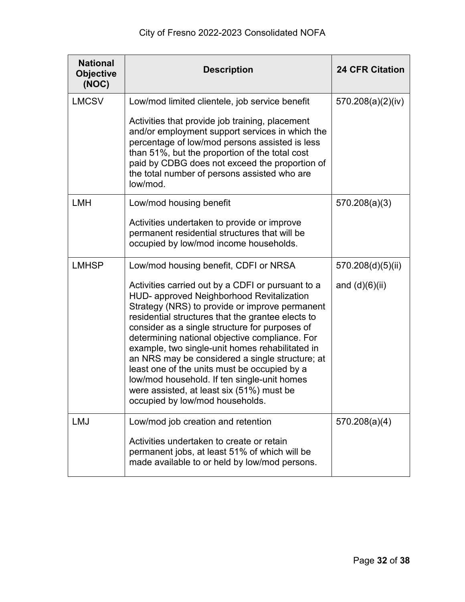| <b>National</b><br><b>Objective</b><br>(NOC) | <b>Description</b>                                                                                                                                                                                                                                                                                                                                                                                                                                                                                                                                                                             | <b>24 CFR Citation</b> |
|----------------------------------------------|------------------------------------------------------------------------------------------------------------------------------------------------------------------------------------------------------------------------------------------------------------------------------------------------------------------------------------------------------------------------------------------------------------------------------------------------------------------------------------------------------------------------------------------------------------------------------------------------|------------------------|
| <b>LMCSV</b>                                 | Low/mod limited clientele, job service benefit                                                                                                                                                                                                                                                                                                                                                                                                                                                                                                                                                 | 570.208(a)(2)(iv)      |
|                                              | Activities that provide job training, placement<br>and/or employment support services in which the<br>percentage of low/mod persons assisted is less<br>than 51%, but the proportion of the total cost<br>paid by CDBG does not exceed the proportion of<br>the total number of persons assisted who are<br>low/mod.                                                                                                                                                                                                                                                                           |                        |
| <b>LMH</b>                                   | Low/mod housing benefit                                                                                                                                                                                                                                                                                                                                                                                                                                                                                                                                                                        | 570.208(a)(3)          |
|                                              | Activities undertaken to provide or improve<br>permanent residential structures that will be<br>occupied by low/mod income households.                                                                                                                                                                                                                                                                                                                                                                                                                                                         |                        |
| <b>LMHSP</b>                                 | Low/mod housing benefit, CDFI or NRSA                                                                                                                                                                                                                                                                                                                                                                                                                                                                                                                                                          | 570.208(d)(5)(ii)      |
|                                              | Activities carried out by a CDFI or pursuant to a<br>HUD- approved Neighborhood Revitalization<br>Strategy (NRS) to provide or improve permanent<br>residential structures that the grantee elects to<br>consider as a single structure for purposes of<br>determining national objective compliance. For<br>example, two single-unit homes rehabilitated in<br>an NRS may be considered a single structure; at<br>least one of the units must be occupied by a<br>low/mod household. If ten single-unit homes<br>were assisted, at least six (51%) must be<br>occupied by low/mod households. | and $(d)(6)(ii)$       |
| <b>LMJ</b>                                   | Low/mod job creation and retention                                                                                                                                                                                                                                                                                                                                                                                                                                                                                                                                                             | 570.208(a)(4)          |
|                                              | Activities undertaken to create or retain<br>permanent jobs, at least 51% of which will be<br>made available to or held by low/mod persons.                                                                                                                                                                                                                                                                                                                                                                                                                                                    |                        |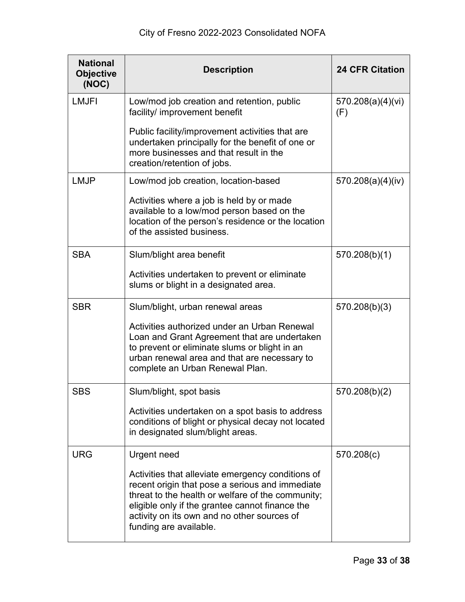| <b>National</b><br><b>Objective</b><br>(NOC) | <b>Description</b>                                                                                                                                                                                                                                                                    | <b>24 CFR Citation</b>   |
|----------------------------------------------|---------------------------------------------------------------------------------------------------------------------------------------------------------------------------------------------------------------------------------------------------------------------------------------|--------------------------|
| <b>LMJFI</b>                                 | Low/mod job creation and retention, public<br>facility/ improvement benefit                                                                                                                                                                                                           | 570.208(a)(4)(vi)<br>(F) |
|                                              | Public facility/improvement activities that are<br>undertaken principally for the benefit of one or<br>more businesses and that result in the<br>creation/retention of jobs.                                                                                                          |                          |
| <b>LMJP</b>                                  | Low/mod job creation, location-based<br>Activities where a job is held by or made<br>available to a low/mod person based on the<br>location of the person's residence or the location<br>of the assisted business.                                                                    | 570.208(a)(4)(iv)        |
| <b>SBA</b>                                   | Slum/blight area benefit                                                                                                                                                                                                                                                              | 570.208(b)(1)            |
|                                              | Activities undertaken to prevent or eliminate<br>slums or blight in a designated area.                                                                                                                                                                                                |                          |
| <b>SBR</b>                                   | Slum/blight, urban renewal areas                                                                                                                                                                                                                                                      | 570.208(b)(3)            |
|                                              | Activities authorized under an Urban Renewal<br>Loan and Grant Agreement that are undertaken<br>to prevent or eliminate slums or blight in an<br>urban renewal area and that are necessary to<br>complete an Urban Renewal Plan.                                                      |                          |
| <b>SBS</b>                                   | Slum/blight, spot basis                                                                                                                                                                                                                                                               | 570.208(b)(2)            |
|                                              | Activities undertaken on a spot basis to address<br>conditions of blight or physical decay not located<br>in designated slum/blight areas.                                                                                                                                            |                          |
| <b>URG</b>                                   | Urgent need                                                                                                                                                                                                                                                                           | 570.208(c)               |
|                                              | Activities that alleviate emergency conditions of<br>recent origin that pose a serious and immediate<br>threat to the health or welfare of the community;<br>eligible only if the grantee cannot finance the<br>activity on its own and no other sources of<br>funding are available. |                          |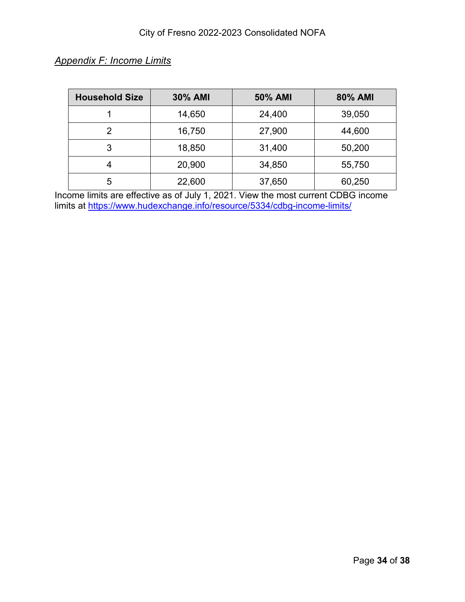| <b>Household Size</b> | <b>30% AMI</b> | 50% AMI | 80% AMI |
|-----------------------|----------------|---------|---------|
|                       | 14,650         | 24,400  | 39,050  |
| $\mathcal{P}$         | 16,750         | 27,900  | 44,600  |
| 3                     | 18,850         | 31,400  | 50,200  |
| 4                     | 20,900         | 34,850  | 55,750  |
| 5                     | 22,600         | 37,650  | 60,250  |

### <span id="page-33-0"></span>*Appendix F: Income Limits*

Income limits are effective as of July 1, 2021. View the most current CDBG income limits at<https://www.hudexchange.info/resource/5334/cdbg-income-limits/>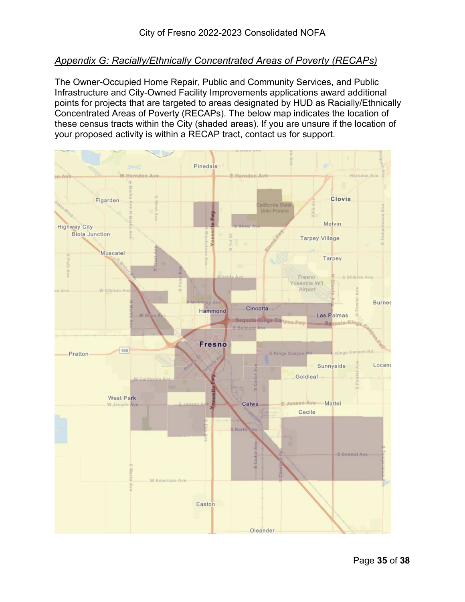#### <span id="page-34-0"></span>*Appendix G: Racially/Ethnically Concentrated Areas of Poverty (RECAPs)*

The Owner-Occupied Home Repair, Public and Community Services, and Public Infrastructure and City-Owned Facility Improvements applications award additional points for projects that are targeted to areas designated by HUD as Racially/Ethnically Concentrated Areas of Poverty (RECAPs). The below map indicates the location of these census tracts within the City (shaded areas). If you are unsure if the location of your proposed activity is within a RECAP tract, contact us for support.

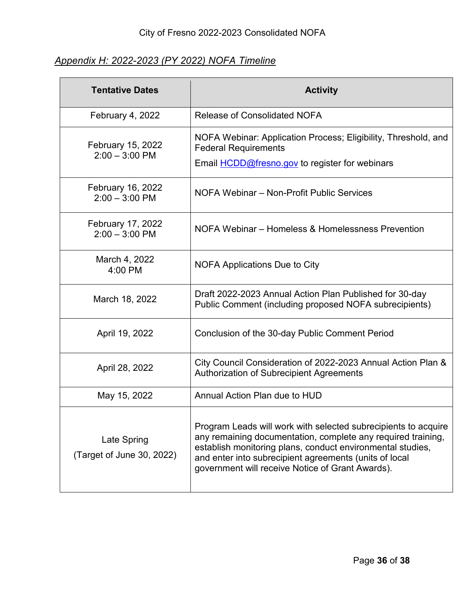### <span id="page-35-0"></span>*Appendix H: 2022-2023 (PY 2022) NOFA Timeline*

| <b>Tentative Dates</b>                       | <b>Activity</b>                                                                                                                                                                                                                                                                                            |  |
|----------------------------------------------|------------------------------------------------------------------------------------------------------------------------------------------------------------------------------------------------------------------------------------------------------------------------------------------------------------|--|
| February 4, 2022                             | <b>Release of Consolidated NOFA</b>                                                                                                                                                                                                                                                                        |  |
| February 15, 2022<br>$2:00 - 3:00$ PM        | NOFA Webinar: Application Process; Eligibility, Threshold, and<br><b>Federal Requirements</b><br>Email <b>HCDD@fresno.gov</b> to register for webinars                                                                                                                                                     |  |
| February 16, 2022<br>$2:00 - 3:00$ PM        | NOFA Webinar - Non-Profit Public Services                                                                                                                                                                                                                                                                  |  |
| <b>February 17, 2022</b><br>$2:00 - 3:00$ PM | NOFA Webinar – Homeless & Homelessness Prevention                                                                                                                                                                                                                                                          |  |
| March 4, 2022<br>$4:00$ PM                   | <b>NOFA Applications Due to City</b>                                                                                                                                                                                                                                                                       |  |
| March 18, 2022                               | Draft 2022-2023 Annual Action Plan Published for 30-day<br>Public Comment (including proposed NOFA subrecipients)                                                                                                                                                                                          |  |
| April 19, 2022                               | Conclusion of the 30-day Public Comment Period                                                                                                                                                                                                                                                             |  |
| April 28, 2022                               | City Council Consideration of 2022-2023 Annual Action Plan &<br>Authorization of Subrecipient Agreements                                                                                                                                                                                                   |  |
| May 15, 2022                                 | Annual Action Plan due to HUD                                                                                                                                                                                                                                                                              |  |
| Late Spring<br>(Target of June 30, 2022)     | Program Leads will work with selected subrecipients to acquire<br>any remaining documentation, complete any required training,<br>establish monitoring plans, conduct environmental studies,<br>and enter into subrecipient agreements (units of local<br>government will receive Notice of Grant Awards). |  |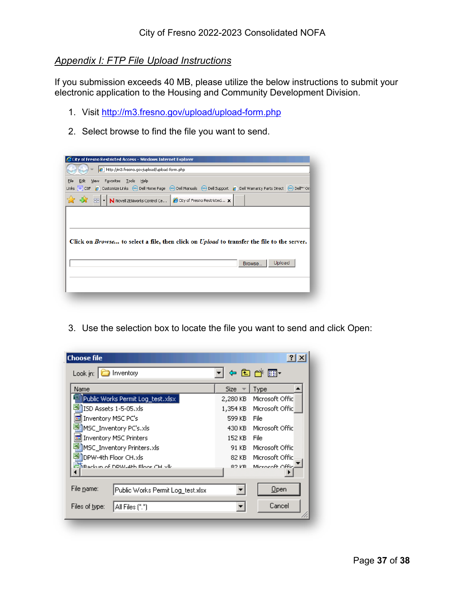#### <span id="page-36-0"></span>*Appendix I: FTP File Upload Instructions*

If you submission exceeds 40 MB, please utilize the below instructions to submit your electronic application to the Housing and Community Development Division.

- 1. Visit<http://m3.fresno.gov/upload/upload-form.php>
- 2. Select browse to find the file you want to send.

| City of Fresno Restricted Access - Windows Internet Explorer                                                                                                                                                            |  |  |  |  |
|-------------------------------------------------------------------------------------------------------------------------------------------------------------------------------------------------------------------------|--|--|--|--|
| e http://m3.fresno.gov/upload/upload-form.php                                                                                                                                                                           |  |  |  |  |
| Edit<br>File<br>View Favorites Tools Help<br>Links © COF e   Customize Links ( <a) (<a="" (<a)="" dell="" home="" manuals="" page=""> Dell Support e   Dell Warranty Parts Direct (<a) dell™="" on<="" td=""></a)></a)> |  |  |  |  |
| N Novell ZENworks Control Ce (C City of Fresno Restricted X<br>- 88 -                                                                                                                                                   |  |  |  |  |
|                                                                                                                                                                                                                         |  |  |  |  |
|                                                                                                                                                                                                                         |  |  |  |  |
| Click on <i>Browse</i> to select a file, then click on <i>Upload</i> to transfer the file to the server.                                                                                                                |  |  |  |  |
| Upload<br>Browse                                                                                                                                                                                                        |  |  |  |  |
|                                                                                                                                                                                                                         |  |  |  |  |
|                                                                                                                                                                                                                         |  |  |  |  |
|                                                                                                                                                                                                                         |  |  |  |  |

- **Choose file**  $|2|X|$ ▔▏<sup></sup>ゃଯαُता∽ Look in: **D** Inventory Name  $Size =$ Type  $\blacktriangle$ Public Works Permit Log\_test.xlsx 2,280 KB Microsoft Offic 图ISD Assets 1-5-05.xls 1,354 KB Microsoft Offic Inventory MSC PC's 599 KB File MSC\_Inventory PC's.xls 430 KB Microsoft Offic Inventory MSC Printers 152 KB File MSC\_Inventory Printers.xls 91 KB Microsoft Offic 图DPW-4th Floor CH.xls 82 KB Microsoft Offic ᆋ Microsoft Offic **Replacement DDW-4th Floor CH vlk** 82 KB. К ×, File name: Public Works Permit Log\_test.xlsx  $\blacktriangledown$  $Qpen$ Cancel Files of type:  $\|$  All Files  $[$ <sup>\*</sup>.\*)  $\overline{\mathbf{r}}$ h,
- 3. Use the selection box to locate the file you want to send and click Open: